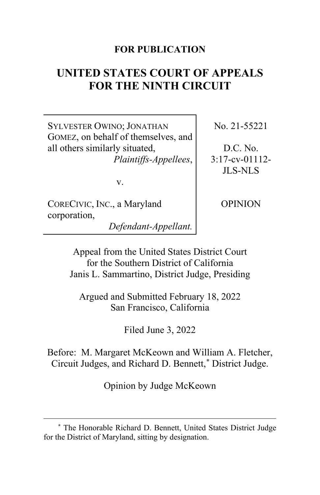### **FOR PUBLICATION**

# **UNITED STATES COURT OF APPEALS FOR THE NINTH CIRCUIT**

SYLVESTER OWINO; JONATHAN GOMEZ, on behalf of themselves, and all others similarly situated, *Plaintiffs-Appellees*,

No. 21-55221

D.C. No. 3:17-cv-01112- JLS-NLS

v.

CORECIVIC, INC., a Maryland corporation,

*Defendant-Appellant.*

OPINION

Appeal from the United States District Court for the Southern District of California Janis L. Sammartino, District Judge, Presiding

Argued and Submitted February 18, 2022 San Francisco, California

Filed June 3, 2022

Before: M. Margaret McKeown and William A. Fletcher, Circuit Judges, and Richard D. Bennett,**[\\*](#page-0-0)** District Judge.

Opinion by Judge McKeown

<span id="page-0-0"></span>**<sup>\*</sup>** The Honorable Richard D. Bennett, United States District Judge for the District of Maryland, sitting by designation.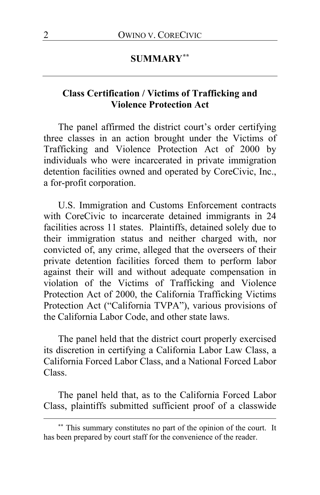### **SUMMARY[\\*\\*](#page-1-0)**

# **Class Certification / Victims of Trafficking and Violence Protection Act**

The panel affirmed the district court's order certifying three classes in an action brought under the Victims of Trafficking and Violence Protection Act of 2000 by individuals who were incarcerated in private immigration detention facilities owned and operated by CoreCivic, Inc., a for-profit corporation.

U.S. Immigration and Customs Enforcement contracts with CoreCivic to incarcerate detained immigrants in 24 facilities across 11 states. Plaintiffs, detained solely due to their immigration status and neither charged with, nor convicted of, any crime, alleged that the overseers of their private detention facilities forced them to perform labor against their will and without adequate compensation in violation of the Victims of Trafficking and Violence Protection Act of 2000, the California Trafficking Victims Protection Act ("California TVPA"), various provisions of the California Labor Code, and other state laws.

The panel held that the district court properly exercised its discretion in certifying a California Labor Law Class, a California Forced Labor Class, and a National Forced Labor Class.

The panel held that, as to the California Forced Labor Class, plaintiffs submitted sufficient proof of a classwide

<span id="page-1-0"></span>**<sup>\*\*</sup>** This summary constitutes no part of the opinion of the court. It has been prepared by court staff for the convenience of the reader.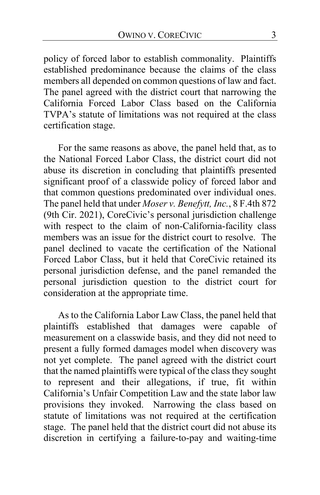policy of forced labor to establish commonality. Plaintiffs established predominance because the claims of the class members all depended on common questions of law and fact. The panel agreed with the district court that narrowing the California Forced Labor Class based on the California TVPA's statute of limitations was not required at the class certification stage.

For the same reasons as above, the panel held that, as to the National Forced Labor Class, the district court did not abuse its discretion in concluding that plaintiffs presented significant proof of a classwide policy of forced labor and that common questions predominated over individual ones. The panel held that under *Moser v. Benefytt, Inc.*, 8 F.4th 872 (9th Cir. 2021), CoreCivic's personal jurisdiction challenge with respect to the claim of non-California-facility class members was an issue for the district court to resolve. The panel declined to vacate the certification of the National Forced Labor Class, but it held that CoreCivic retained its personal jurisdiction defense, and the panel remanded the personal jurisdiction question to the district court for consideration at the appropriate time.

As to the California Labor Law Class, the panel held that plaintiffs established that damages were capable of measurement on a classwide basis, and they did not need to present a fully formed damages model when discovery was not yet complete. The panel agreed with the district court that the named plaintiffs were typical of the class they sought to represent and their allegations, if true, fit within California's Unfair Competition Law and the state labor law provisions they invoked. Narrowing the class based on statute of limitations was not required at the certification stage. The panel held that the district court did not abuse its discretion in certifying a failure-to-pay and waiting-time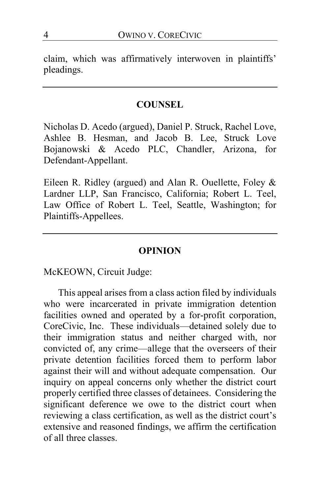claim, which was affirmatively interwoven in plaintiffs' pleadings.

#### **COUNSEL**

Nicholas D. Acedo (argued), Daniel P. Struck, Rachel Love, Ashlee B. Hesman, and Jacob B. Lee, Struck Love Bojanowski & Acedo PLC, Chandler, Arizona, for Defendant-Appellant.

Eileen R. Ridley (argued) and Alan R. Ouellette, Foley & Lardner LLP, San Francisco, California; Robert L. Teel, Law Office of Robert L. Teel, Seattle, Washington; for Plaintiffs-Appellees.

### **OPINION**

McKEOWN, Circuit Judge:

This appeal arises from a class action filed by individuals who were incarcerated in private immigration detention facilities owned and operated by a for-profit corporation, CoreCivic, Inc. These individuals—detained solely due to their immigration status and neither charged with, nor convicted of, any crime—allege that the overseers of their private detention facilities forced them to perform labor against their will and without adequate compensation. Our inquiry on appeal concerns only whether the district court properly certified three classes of detainees. Considering the significant deference we owe to the district court when reviewing a class certification, as well as the district court's extensive and reasoned findings, we affirm the certification of all three classes.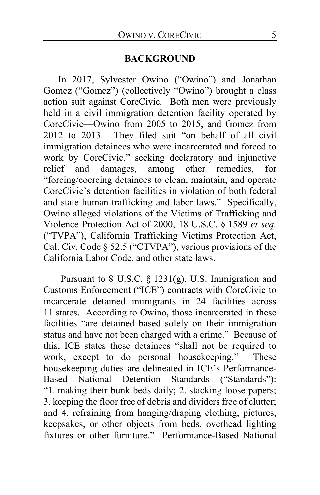#### **BACKGROUND**

In 2017, Sylvester Owino ("Owino") and Jonathan Gomez ("Gomez") (collectively "Owino") brought a class action suit against CoreCivic. Both men were previously held in a civil immigration detention facility operated by CoreCivic—Owino from 2005 to 2015, and Gomez from 2012 to 2013. They filed suit "on behalf of all civil immigration detainees who were incarcerated and forced to work by CoreCivic," seeking declaratory and injunctive relief and damages, among other remedies, for "forcing/coercing detainees to clean, maintain, and operate CoreCivic's detention facilities in violation of both federal and state human trafficking and labor laws." Specifically, Owino alleged violations of the Victims of Trafficking and Violence Protection Act of 2000, 18 U.S.C. § 1589 *et seq.* ("TVPA"), California Trafficking Victims Protection Act, Cal. Civ. Code § 52.5 ("CTVPA"), various provisions of the California Labor Code, and other state laws.

Pursuant to 8 U.S.C. § 1231(g), U.S. Immigration and Customs Enforcement ("ICE") contracts with CoreCivic to incarcerate detained immigrants in 24 facilities across 11 states. According to Owino, those incarcerated in these facilities "are detained based solely on their immigration status and have not been charged with a crime." Because of this, ICE states these detainees "shall not be required to work, except to do personal housekeeping." These housekeeping duties are delineated in ICE's Performance-<br>Based National Detention Standards ("Standards"): Based National Detention "1. making their bunk beds daily; 2. stacking loose papers; 3. keeping the floor free of debris and dividers free of clutter; and 4. refraining from hanging/draping clothing, pictures, keepsakes, or other objects from beds, overhead lighting fixtures or other furniture." Performance-Based National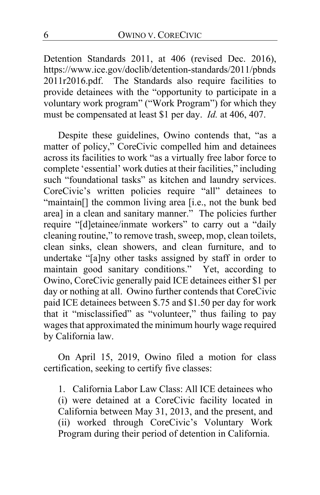Detention Standards 2011, at 406 (revised Dec. 2016), https://www.ice.gov/doclib/detention-standards/2011/pbnds 2011r2016.pdf.The Standards also require facilities to provide detainees with the "opportunity to participate in a voluntary work program" ("Work Program") for which they must be compensated at least \$1 per day. *Id.* at 406, 407.

Despite these guidelines, Owino contends that, "as a matter of policy," CoreCivic compelled him and detainees across its facilities to work "as a virtually free labor force to complete 'essential' work duties at their facilities," including such "foundational tasks" as kitchen and laundry services. CoreCivic's written policies require "all" detainees to "maintain[] the common living area [i.e., not the bunk bed area] in a clean and sanitary manner." The policies further require "[d]etainee/inmate workers" to carry out a "daily" cleaning routine," to remove trash, sweep, mop, clean toilets, clean sinks, clean showers, and clean furniture, and to undertake "[a]ny other tasks assigned by staff in order to maintain good sanitary conditions." Yet, according to Owino, CoreCivic generally paid ICE detainees either \$1 per day or nothing at all. Owino further contends that CoreCivic paid ICE detainees between \$.75 and \$1.50 per day for work that it "misclassified" as "volunteer," thus failing to pay wages that approximated the minimum hourly wage required by California law.

On April 15, 2019, Owino filed a motion for class certification, seeking to certify five classes:

1. California Labor Law Class: All ICE detainees who (i) were detained at a CoreCivic facility located in California between May 31, 2013, and the present, and (ii) worked through CoreCivic's Voluntary Work Program during their period of detention in California.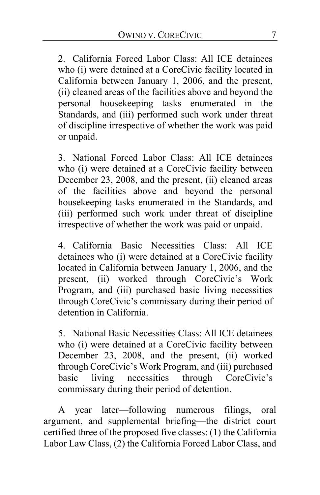2. California Forced Labor Class: All ICE detainees who (i) were detained at a CoreCivic facility located in California between January 1, 2006, and the present, (ii) cleaned areas of the facilities above and beyond the personal housekeeping tasks enumerated in the Standards, and (iii) performed such work under threat of discipline irrespective of whether the work was paid or unpaid.

3. National Forced Labor Class: All ICE detainees who (i) were detained at a CoreCivic facility between December 23, 2008, and the present, (ii) cleaned areas of the facilities above and beyond the personal housekeeping tasks enumerated in the Standards, and (iii) performed such work under threat of discipline irrespective of whether the work was paid or unpaid.

4. California Basic Necessities Class: All ICE detainees who (i) were detained at a CoreCivic facility located in California between January 1, 2006, and the present, (ii) worked through CoreCivic's Work Program, and (iii) purchased basic living necessities through CoreCivic's commissary during their period of detention in California.

5. National Basic Necessities Class: All ICE detainees who (i) were detained at a CoreCivic facility between December 23, 2008, and the present, (ii) worked through CoreCivic's Work Program, and (iii) purchased basic living necessities through CoreCivic's commissary during their period of detention.

A year later—following numerous filings, oral argument, and supplemental briefing—the district court certified three of the proposed five classes: (1) the California Labor Law Class, (2) the California Forced Labor Class, and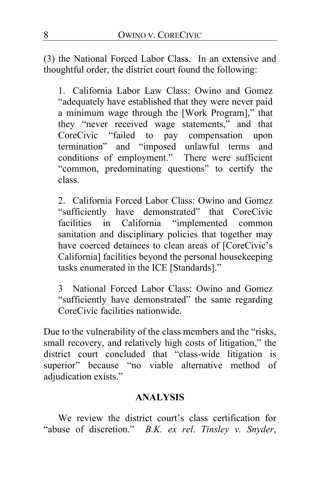(3) the National Forced Labor Class. In an extensive and thoughtful order, the district court found the following:

1. California Labor Law Class: Owino and Gomez "adequately have established that they were never paid a minimum wage through the [Work Program]," that they "never received wage statements," and that CoreCivic "failed to pay compensation upon termination" and "imposed unlawful terms and conditions of employment." There were sufficient "common, predominating questions" to certify the class.

2. California Forced Labor Class: Owino and Gomez "sufficiently have demonstrated" that CoreCivic facilities in California "implemented common sanitation and disciplinary policies that together may have coerced detainees to clean areas of [CoreCivic's California] facilities beyond the personal housekeeping tasks enumerated in the ICE [Standards]."

3 National Forced Labor Class: Owino and Gomez "sufficiently have demonstrated" the same regarding CoreCivic facilities nationwide.

Due to the vulnerability of the class members and the "risks, small recovery, and relatively high costs of litigation," the district court concluded that "class-wide litigation is superior" because "no viable alternative method of adjudication exists."

### **ANALYSIS**

We review the district court's class certification for "abuse of discretion." *B.K. ex rel*. *Tinsley v. Snyder*,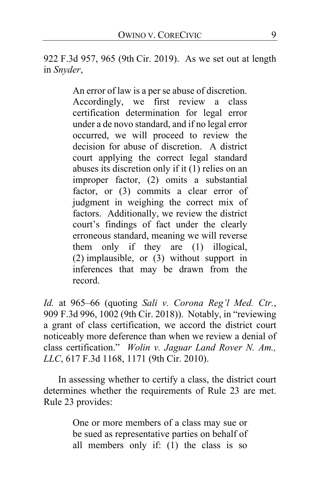922 F.3d 957, 965 (9th Cir. 2019). As we set out at length in *Snyder*,

> An error of law is a per se abuse of discretion. Accordingly, we first review a class certification determination for legal error under a de novo standard, and if no legal error occurred, we will proceed to review the decision for abuse of discretion. A district court applying the correct legal standard abuses its discretion only if it (1) relies on an improper factor, (2) omits a substantial factor, or (3) commits a clear error of judgment in weighing the correct mix of factors. Additionally, we review the district court's findings of fact under the clearly erroneous standard, meaning we will reverse them only if they are (1) illogical, (2) implausible, or (3) without support in inferences that may be drawn from the record.

*Id.* at 965–66 (quoting *Sali v. Corona Reg'l Med. Ctr.*, 909 F.3d 996, 1002 (9th Cir. 2018)). Notably, in "reviewing a grant of class certification, we accord the district court noticeably more deference than when we review a denial of class certification." *Wolin v. Jaguar Land Rover N. Am., LLC*, 617 F.3d 1168, 1171 (9th Cir. 2010).

In assessing whether to certify a class, the district court determines whether the requirements of Rule 23 are met. Rule 23 provides:

> One or more members of a class may sue or be sued as representative parties on behalf of all members only if: (1) the class is so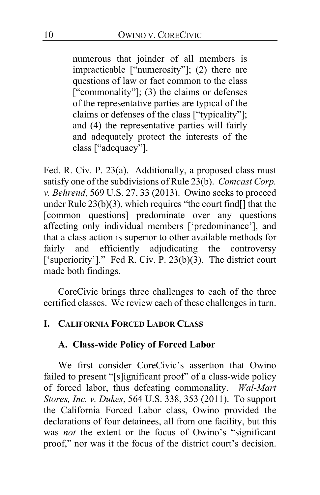numerous that joinder of all members is impracticable ["numerosity"]; (2) there are questions of law or fact common to the class ["commonality"]; (3) the claims or defenses of the representative parties are typical of the claims or defenses of the class ["typicality"]; and (4) the representative parties will fairly and adequately protect the interests of the class ["adequacy"].

Fed. R. Civ. P. 23(a). Additionally, a proposed class must satisfy one of the subdivisions of Rule 23(b). *Comcast Corp. v. Behrend*, 569 U.S. 27, 33 (2013). Owino seeks to proceed under Rule  $23(b)(3)$ , which requires "the court find  $\lceil \cdot \rceil$  that the [common questions] predominate over any questions affecting only individual members ['predominance'], and that a class action is superior to other available methods for fairly and efficiently adjudicating the controversy ['superiority']." Fed R. Civ. P. 23(b)(3). The district court made both findings.

CoreCivic brings three challenges to each of the three certified classes. We review each of these challenges in turn.

### **I. CALIFORNIA FORCED LABOR CLASS**

#### **A. Class-wide Policy of Forced Labor**

We first consider CoreCivic's assertion that Owino failed to present "[s]ignificant proof" of a class-wide policy of forced labor, thus defeating commonality. *Wal-Mart Stores, Inc. v. Dukes*, 564 U.S. 338, 353 (2011). To support the California Forced Labor class, Owino provided the declarations of four detainees, all from one facility, but this was *not* the extent or the focus of Owino's "significant proof," nor was it the focus of the district court's decision.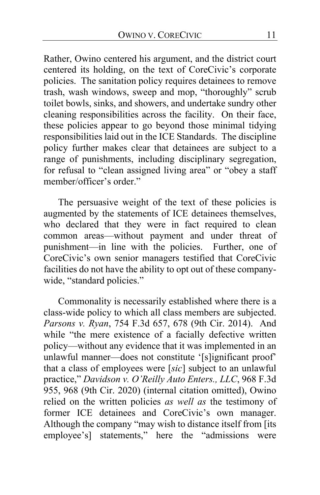Rather, Owino centered his argument, and the district court centered its holding, on the text of CoreCivic's corporate policies. The sanitation policy requires detainees to remove trash, wash windows, sweep and mop, "thoroughly" scrub toilet bowls, sinks, and showers, and undertake sundry other cleaning responsibilities across the facility. On their face, these policies appear to go beyond those minimal tidying responsibilities laid out in the ICE Standards. The discipline policy further makes clear that detainees are subject to a range of punishments, including disciplinary segregation, for refusal to "clean assigned living area" or "obey a staff member/officer's order."

The persuasive weight of the text of these policies is augmented by the statements of ICE detainees themselves, who declared that they were in fact required to clean common areas—without payment and under threat of punishment—in line with the policies. Further, one of CoreCivic's own senior managers testified that CoreCivic facilities do not have the ability to opt out of these companywide, "standard policies."

Commonality is necessarily established where there is a class-wide policy to which all class members are subjected. *Parsons v. Ryan*, 754 F.3d 657, 678 (9th Cir. 2014). And while "the mere existence of a facially defective written policy—without any evidence that it was implemented in an unlawful manner—does not constitute '[s]ignificant proof' that a class of employees were [*sic*] subject to an unlawful practice," *Davidson v. O'Reilly Auto Enters., LLC*, 968 F.3d 955, 968 (9th Cir. 2020) (internal citation omitted), Owino relied on the written policies *as well as* the testimony of former ICE detainees and CoreCivic's own manager. Although the company "may wish to distance itself from [its employee's] statements," here the "admissions were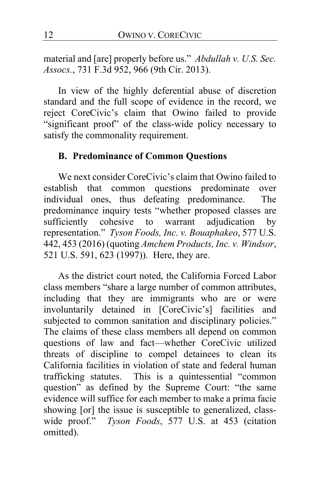material and [are] properly before us." *Abdullah v. U.S. Sec. Assocs.*, 731 F.3d 952, 966 (9th Cir. 2013).

In view of the highly deferential abuse of discretion standard and the full scope of evidence in the record, we reject CoreCivic's claim that Owino failed to provide "significant proof" of the class-wide policy necessary to satisfy the commonality requirement.

### **B. Predominance of Common Questions**

We next consider CoreCivic's claim that Owino failed to establish that common questions predominate over individual ones, thus defeating predominance. The predominance inquiry tests "whether proposed classes are sufficiently cohesive to warrant adjudication by representation." *Tyson Foods, Inc. v. Bouaphakeo*, 577 U.S. 442, 453 (2016) (quoting *Amchem Products, Inc. v. Windsor*, 521 U.S. 591, 623 (1997)). Here, they are.

As the district court noted, the California Forced Labor class members "share a large number of common attributes, including that they are immigrants who are or were involuntarily detained in [CoreCivic's] facilities and subjected to common sanitation and disciplinary policies." The claims of these class members all depend on common questions of law and fact—whether CoreCivic utilized threats of discipline to compel detainees to clean its California facilities in violation of state and federal human trafficking statutes. This is a quintessential "common question" as defined by the Supreme Court: "the same evidence will suffice for each member to make a prima facie showing [or] the issue is susceptible to generalized, classwide proof." *Tyson Foods*, 577 U.S. at 453 (citation omitted).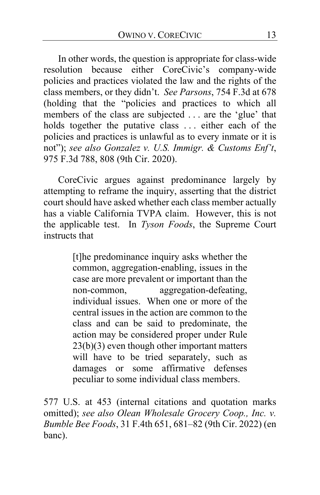In other words, the question is appropriate for class-wide resolution because either CoreCivic's company-wide policies and practices violated the law and the rights of the class members, or they didn't. *See Parsons*, 754 F.3d at 678 (holding that the "policies and practices to which all members of the class are subjected . . . are the 'glue' that holds together the putative class . . . either each of the policies and practices is unlawful as to every inmate or it is not"); *see also Gonzalez v. U.S. Immigr. & Customs Enf't*, 975 F.3d 788, 808 (9th Cir. 2020).

CoreCivic argues against predominance largely by attempting to reframe the inquiry, asserting that the district court should have asked whether each class member actually has a viable California TVPA claim. However, this is not the applicable test. In *Tyson Foods*, the Supreme Court instructs that

> [t]he predominance inquiry asks whether the common, aggregation-enabling, issues in the case are more prevalent or important than the non-common, aggregation-defeating, individual issues. When one or more of the central issues in the action are common to the class and can be said to predominate, the action may be considered proper under Rule 23(b)(3) even though other important matters will have to be tried separately, such as damages or some affirmative defenses peculiar to some individual class members.

577 U.S. at 453 (internal citations and quotation marks omitted); *see also Olean Wholesale Grocery Coop., Inc. v. Bumble Bee Foods*, 31 F.4th 651, 681–82 (9th Cir. 2022) (en banc).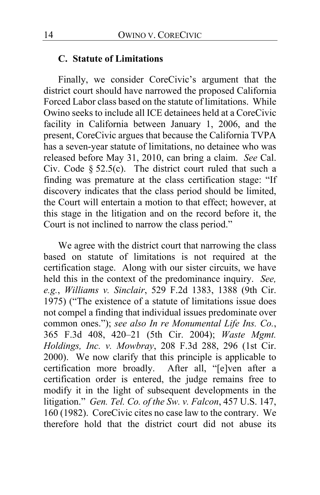#### **C. Statute of Limitations**

Finally, we consider CoreCivic's argument that the district court should have narrowed the proposed California Forced Labor class based on the statute of limitations. While Owino seeks to include all ICE detainees held at a CoreCivic facility in California between January 1, 2006, and the present, CoreCivic argues that because the California TVPA has a seven-year statute of limitations, no detainee who was released before May 31, 2010, can bring a claim. *See* Cal. Civ. Code  $\S 52.5(c)$ . The district court ruled that such a finding was premature at the class certification stage: "If discovery indicates that the class period should be limited, the Court will entertain a motion to that effect; however, at this stage in the litigation and on the record before it, the Court is not inclined to narrow the class period."

We agree with the district court that narrowing the class based on statute of limitations is not required at the certification stage. Along with our sister circuits, we have held this in the context of the predominance inquiry. *See, e.g.*, *Williams v. Sinclair*, 529 F.2d 1383, 1388 (9th Cir. 1975) ("The existence of a statute of limitations issue does not compel a finding that individual issues predominate over common ones."); *see also In re Monumental Life Ins. Co.*, 365 F.3d 408, 420–21 (5th Cir. 2004); *Waste Mgmt. Holdings, Inc. v. Mowbray*, 208 F.3d 288, 296 (1st Cir. 2000). We now clarify that this principle is applicable to certification more broadly. After all, "[e]ven after a certification order is entered, the judge remains free to modify it in the light of subsequent developments in the litigation." *Gen. Tel. Co. of the Sw. v. Falcon*, 457 U.S. 147, 160 (1982). CoreCivic cites no case law to the contrary. We therefore hold that the district court did not abuse its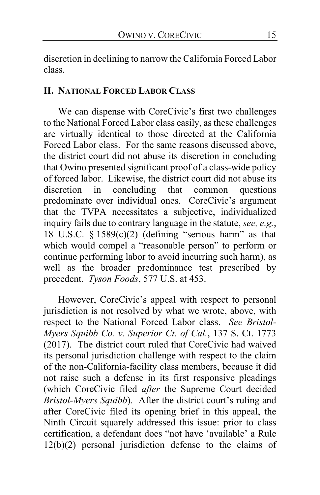discretion in declining to narrow the California Forced Labor class.

### **II. NATIONAL FORCED LABOR CLASS**

We can dispense with CoreCivic's first two challenges to the National Forced Labor class easily, as these challenges are virtually identical to those directed at the California Forced Labor class. For the same reasons discussed above, the district court did not abuse its discretion in concluding that Owino presented significant proof of a class-wide policy of forced labor. Likewise, the district court did not abuse its discretion in concluding that common questions predominate over individual ones. CoreCivic's argument that the TVPA necessitates a subjective, individualized inquiry fails due to contrary language in the statute, *see, e.g.*, 18 U.S.C.  $\S$  1589(c)(2) (defining "serious harm" as that which would compel a "reasonable person" to perform or continue performing labor to avoid incurring such harm), as well as the broader predominance test prescribed by precedent. *Tyson Foods*, 577 U.S. at 453.

However, CoreCivic's appeal with respect to personal jurisdiction is not resolved by what we wrote, above, with respect to the National Forced Labor class. *See Bristol-Myers Squibb Co. v. Superior Ct. of Cal.*, 137 S. Ct. 1773 (2017).The district court ruled that CoreCivic had waived its personal jurisdiction challenge with respect to the claim of the non-California-facility class members, because it did not raise such a defense in its first responsive pleadings (which CoreCivic filed *after* the Supreme Court decided *Bristol-Myers Squibb*). After the district court's ruling and after CoreCivic filed its opening brief in this appeal, the Ninth Circuit squarely addressed this issue: prior to class certification, a defendant does "not have 'available' a Rule 12(b)(2) personal jurisdiction defense to the claims of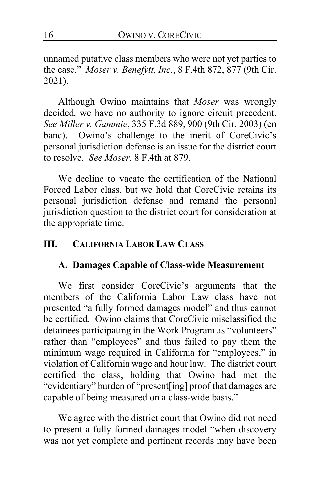unnamed putative class members who were not yet parties to the case." *Moser v. Benefytt, Inc.*, 8 F.4th 872, 877 (9th Cir. 2021).

Although Owino maintains that *Moser* was wrongly decided, we have no authority to ignore circuit precedent. *See Miller v. Gammie*, 335 F.3d 889, 900 (9th Cir. 2003) (en banc). Owino's challenge to the merit of CoreCivic's personal jurisdiction defense is an issue for the district court to resolve. *See Moser*, 8 F.4th at 879.

We decline to vacate the certification of the National Forced Labor class, but we hold that CoreCivic retains its personal jurisdiction defense and remand the personal jurisdiction question to the district court for consideration at the appropriate time.

### **III. CALIFORNIA LABOR LAW CLASS**

#### **A. Damages Capable of Class-wide Measurement**

We first consider CoreCivic's arguments that the members of the California Labor Law class have not presented "a fully formed damages model" and thus cannot be certified. Owino claims that CoreCivic misclassified the detainees participating in the Work Program as "volunteers" rather than "employees" and thus failed to pay them the minimum wage required in California for "employees," in violation of California wage and hour law. The district court certified the class, holding that Owino had met the "evidentiary" burden of "present[ing] proof that damages are capable of being measured on a class-wide basis."

We agree with the district court that Owino did not need to present a fully formed damages model "when discovery was not yet complete and pertinent records may have been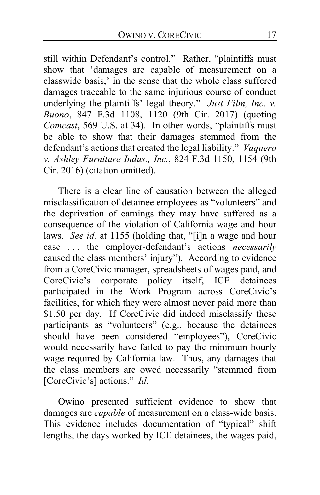still within Defendant's control." Rather, "plaintiffs must show that 'damages are capable of measurement on a classwide basis,' in the sense that the whole class suffered damages traceable to the same injurious course of conduct underlying the plaintiffs' legal theory." *Just Film, Inc. v. Buono*, 847 F.3d 1108, 1120 (9th Cir. 2017) (quoting *Comcast*, 569 U.S. at 34). In other words, "plaintiffs must be able to show that their damages stemmed from the defendant's actions that created the legal liability." *Vaquero v. Ashley Furniture Indus., Inc.*, 824 F.3d 1150, 1154 (9th Cir. 2016) (citation omitted).

There is a clear line of causation between the alleged misclassification of detainee employees as "volunteers" and the deprivation of earnings they may have suffered as a consequence of the violation of California wage and hour laws. *See id.* at 1155 (holding that, "[i]n a wage and hour case . . . the employer-defendant's actions *necessarily* caused the class members' injury"). According to evidence from a CoreCivic manager, spreadsheets of wages paid, and CoreCivic's corporate policy itself, ICE detainees participated in the Work Program across CoreCivic's facilities, for which they were almost never paid more than \$1.50 per day.If CoreCivic did indeed misclassify these participants as "volunteers" (e.g., because the detainees should have been considered "employees"), CoreCivic would necessarily have failed to pay the minimum hourly wage required by California law. Thus, any damages that the class members are owed necessarily "stemmed from [CoreCivic's] actions." *Id*.

Owino presented sufficient evidence to show that damages are *capable* of measurement on a class-wide basis. This evidence includes documentation of "typical" shift lengths, the days worked by ICE detainees, the wages paid,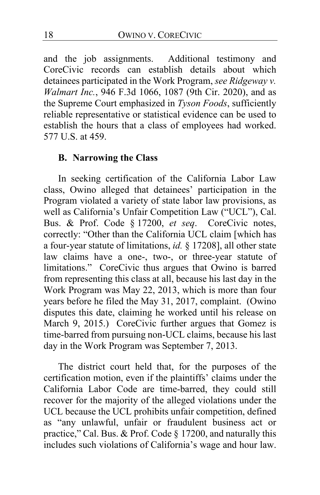and the job assignments. Additional testimony and CoreCivic records can establish details about which detainees participated in the Work Program, *see Ridgeway v. Walmart Inc.*, 946 F.3d 1066, 1087 (9th Cir. 2020), and as the Supreme Court emphasized in *Tyson Foods*, sufficiently reliable representative or statistical evidence can be used to establish the hours that a class of employees had worked. 577 U.S. at 459.

### **B. Narrowing the Class**

In seeking certification of the California Labor Law class, Owino alleged that detainees' participation in the Program violated a variety of state labor law provisions, as well as California's Unfair Competition Law ("UCL"), Cal. Bus. & Prof. Code § 17200, *et seq*. CoreCivic notes, correctly: "Other than the California UCL claim [which has a four-year statute of limitations, *id.* § 17208], all other state law claims have a one-, two-, or three-year statute of limitations." CoreCivic thus argues that Owino is barred from representing this class at all, because his last day in the Work Program was May 22, 2013, which is more than four years before he filed the May 31, 2017, complaint. (Owino disputes this date, claiming he worked until his release on March 9, 2015.) CoreCivic further argues that Gomez is time-barred from pursuing non-UCL claims, because his last day in the Work Program was September 7, 2013.

The district court held that, for the purposes of the certification motion, even if the plaintiffs' claims under the California Labor Code are time-barred, they could still recover for the majority of the alleged violations under the UCL because the UCL prohibits unfair competition, defined as "any unlawful, unfair or fraudulent business act or practice," Cal. Bus. & Prof. Code § 17200, and naturally this includes such violations of California's wage and hour law.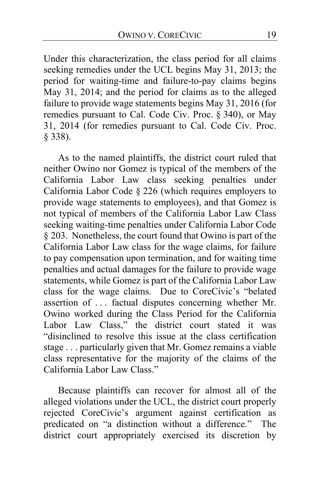Under this characterization, the class period for all claims seeking remedies under the UCL begins May 31, 2013; the period for waiting-time and failure-to-pay claims begins May 31, 2014; and the period for claims as to the alleged failure to provide wage statements begins May 31, 2016 (for remedies pursuant to Cal. Code Civ. Proc. § 340), or May 31, 2014 (for remedies pursuant to Cal. Code Civ. Proc. § 338).

As to the named plaintiffs, the district court ruled that neither Owino nor Gomez is typical of the members of the California Labor Law class seeking penalties under California Labor Code § 226 (which requires employers to provide wage statements to employees), and that Gomez is not typical of members of the California Labor Law Class seeking waiting-time penalties under California Labor Code § 203. Nonetheless, the court found that Owino is part of the California Labor Law class for the wage claims, for failure to pay compensation upon termination, and for waiting time penalties and actual damages for the failure to provide wage statements, while Gomez is part of the California Labor Law class for the wage claims. Due to CoreCivic's "belated assertion of . . . factual disputes concerning whether Mr. Owino worked during the Class Period for the California Labor Law Class," the district court stated it was "disinclined to resolve this issue at the class certification stage . . . particularly given that Mr. Gomez remains a viable class representative for the majority of the claims of the California Labor Law Class."

Because plaintiffs can recover for almost all of the alleged violations under the UCL, the district court properly rejected CoreCivic's argument against certification as predicated on "a distinction without a difference." The district court appropriately exercised its discretion by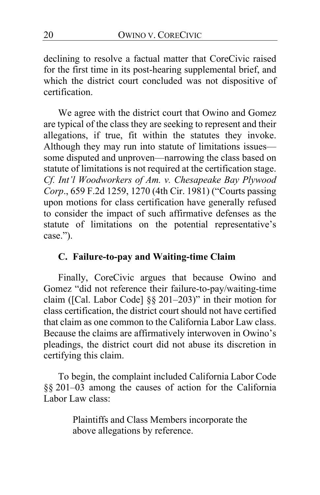declining to resolve a factual matter that CoreCivic raised for the first time in its post-hearing supplemental brief, and which the district court concluded was not dispositive of certification.

We agree with the district court that Owino and Gomez are typical of the class they are seeking to represent and their allegations, if true, fit within the statutes they invoke. Although they may run into statute of limitations issues some disputed and unproven—narrowing the class based on statute of limitations is not required at the certification stage. *Cf. Int'l Woodworkers of Am. v. Chesapeake Bay Plywood Corp*., 659 F.2d 1259, 1270 (4th Cir. 1981) ("Courts passing upon motions for class certification have generally refused to consider the impact of such affirmative defenses as the statute of limitations on the potential representative's case.").

## **C. Failure-to-pay and Waiting-time Claim**

Finally, CoreCivic argues that because Owino and Gomez "did not reference their failure-to-pay/waiting-time claim ([Cal. Labor Code] §§ 201–203)" in their motion for class certification, the district court should not have certified that claim as one common to the California Labor Law class. Because the claims are affirmatively interwoven in Owino's pleadings, the district court did not abuse its discretion in certifying this claim.

To begin, the complaint included California Labor Code §§ 201–03 among the causes of action for the California Labor Law class:

> Plaintiffs and Class Members incorporate the above allegations by reference.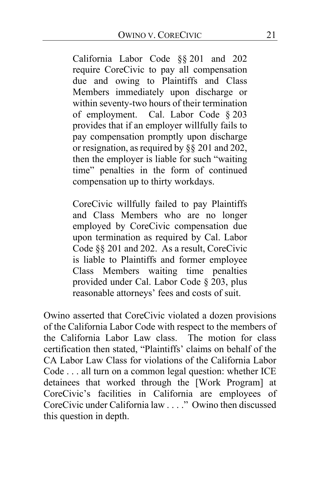California Labor Code §§ 201 and 202 require CoreCivic to pay all compensation due and owing to Plaintiffs and Class Members immediately upon discharge or within seventy-two hours of their termination of employment. Cal. Labor Code § 203 provides that if an employer willfully fails to pay compensation promptly upon discharge or resignation, as required by §§ 201 and 202, then the employer is liable for such "waiting time" penalties in the form of continued compensation up to thirty workdays.

CoreCivic willfully failed to pay Plaintiffs and Class Members who are no longer employed by CoreCivic compensation due upon termination as required by Cal. Labor Code §§ 201 and 202. As a result, CoreCivic is liable to Plaintiffs and former employee Class Members waiting time penalties provided under Cal. Labor Code § 203, plus reasonable attorneys' fees and costs of suit.

Owino asserted that CoreCivic violated a dozen provisions of the California Labor Code with respect to the members of<br>the California Labor Law class. The motion for class the California Labor Law class. certification then stated, "Plaintiffs' claims on behalf of the CA Labor Law Class for violations of the California Labor Code . . . all turn on a common legal question: whether ICE detainees that worked through the [Work Program] at CoreCivic's facilities in California are employees of CoreCivic under California law . . . ." Owino then discussed this question in depth.